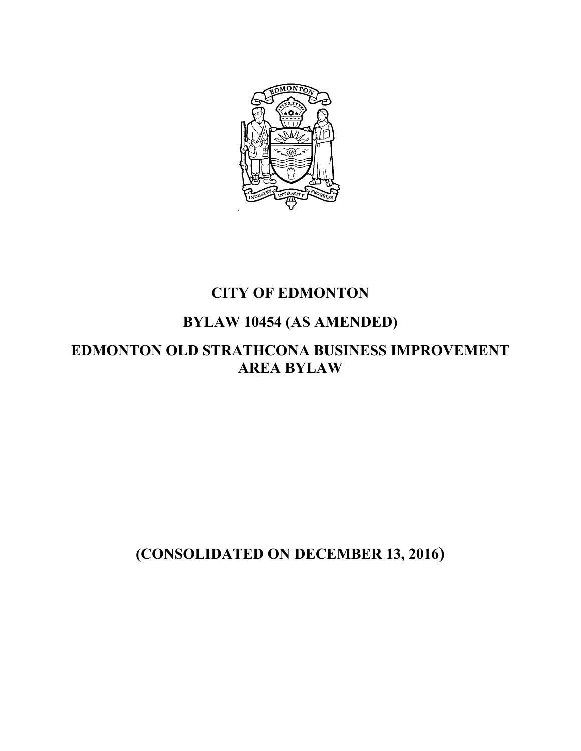

## **CITY OF EDMONTON**

# **BYLAW 10454 (AS AMENDED)**

## **EDMONTON OLD STRATHCONA BUSINESS IMPROVEMENT AREA BYLAW**

# **(CONSOLIDATED ON DECEMBER 13, 2016)**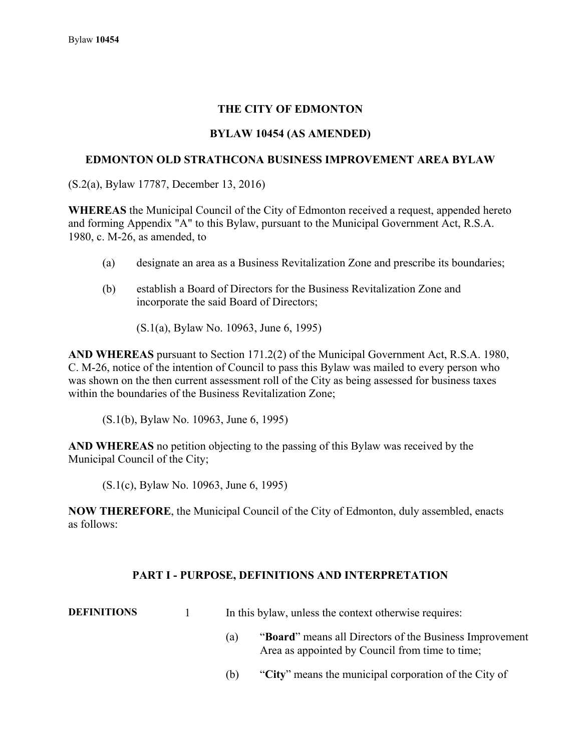## **THE CITY OF EDMONTON**

#### **BYLAW 10454 (AS AMENDED)**

#### **EDMONTON OLD STRATHCONA BUSINESS IMPROVEMENT AREA BYLAW**

(S.2(a), Bylaw 17787, December 13, 2016)

**WHEREAS** the Municipal Council of the City of Edmonton received a request, appended hereto and forming Appendix "A" to this Bylaw, pursuant to the Municipal Government Act, R.S.A. 1980, c. M-26, as amended, to

- (a) designate an area as a Business Revitalization Zone and prescribe its boundaries;
- (b) establish a Board of Directors for the Business Revitalization Zone and incorporate the said Board of Directors;

(S.1(a), Bylaw No. 10963, June 6, 1995)

**AND WHEREAS** pursuant to Section 171.2(2) of the Municipal Government Act, R.S.A. 1980, C. M-26, notice of the intention of Council to pass this Bylaw was mailed to every person who was shown on the then current assessment roll of the City as being assessed for business taxes within the boundaries of the Business Revitalization Zone;

(S.1(b), Bylaw No. 10963, June 6, 1995)

**AND WHEREAS** no petition objecting to the passing of this Bylaw was received by the Municipal Council of the City;

(S.1(c), Bylaw No. 10963, June 6, 1995)

**NOW THEREFORE**, the Municipal Council of the City of Edmonton, duly assembled, enacts as follows:

#### **PART I - PURPOSE, DEFINITIONS AND INTERPRETATION**

**DEFINITIONS** 1 In this bylaw, unless the context otherwise requires:

- (a) "**Board**" means all Directors of the Business Improvement Area as appointed by Council from time to time;
- (b) "**City**" means the municipal corporation of the City of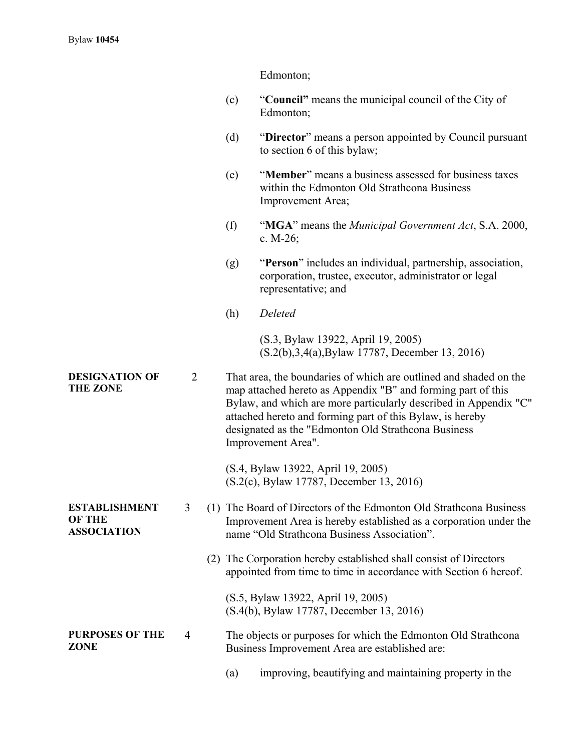|                                                             |   |     | Edmonton;                                                                                                                                                                                                                                                                                                                                       |
|-------------------------------------------------------------|---|-----|-------------------------------------------------------------------------------------------------------------------------------------------------------------------------------------------------------------------------------------------------------------------------------------------------------------------------------------------------|
|                                                             |   | (c) | "Council" means the municipal council of the City of<br>Edmonton;                                                                                                                                                                                                                                                                               |
|                                                             |   | (d) | "Director" means a person appointed by Council pursuant<br>to section 6 of this bylaw;                                                                                                                                                                                                                                                          |
|                                                             |   | (e) | "Member" means a business assessed for business taxes<br>within the Edmonton Old Strathcona Business<br>Improvement Area;                                                                                                                                                                                                                       |
|                                                             |   | (f) | "MGA" means the <i>Municipal Government Act</i> , S.A. 2000,<br>c. $M-26$ ;                                                                                                                                                                                                                                                                     |
|                                                             |   | (g) | "Person" includes an individual, partnership, association,<br>corporation, trustee, executor, administrator or legal<br>representative; and                                                                                                                                                                                                     |
|                                                             |   | (h) | Deleted                                                                                                                                                                                                                                                                                                                                         |
|                                                             |   |     | (S.3, Bylaw 13922, April 19, 2005)<br>(S.2(b), 3, 4(a), Bylaw 17787, December 13, 2016)                                                                                                                                                                                                                                                         |
| <b>DESIGNATION OF</b><br><b>THE ZONE</b>                    | 2 |     | That area, the boundaries of which are outlined and shaded on the<br>map attached hereto as Appendix "B" and forming part of this<br>Bylaw, and which are more particularly described in Appendix "C"<br>attached hereto and forming part of this Bylaw, is hereby<br>designated as the "Edmonton Old Strathcona Business<br>Improvement Area". |
|                                                             |   |     | (S.4, Bylaw 13922, April 19, 2005)<br>(S.2(c), Bylaw 17787, December 13, 2016)                                                                                                                                                                                                                                                                  |
| <b>ESTABLISHMENT</b><br><b>OF THE</b><br><b>ASSOCIATION</b> | 3 |     | (1) The Board of Directors of the Edmonton Old Strathcona Business<br>Improvement Area is hereby established as a corporation under the<br>name "Old Strathcona Business Association".                                                                                                                                                          |
|                                                             |   |     | (2) The Corporation hereby established shall consist of Directors<br>appointed from time to time in accordance with Section 6 hereof.                                                                                                                                                                                                           |
|                                                             |   |     | (S.5, Bylaw 13922, April 19, 2005)<br>(S.4(b), Bylaw 17787, December 13, 2016)                                                                                                                                                                                                                                                                  |
| <b>PURPOSES OF THE</b><br><b>ZONE</b>                       | 4 |     | The objects or purposes for which the Edmonton Old Strathcona<br>Business Improvement Area are established are:                                                                                                                                                                                                                                 |
|                                                             |   | (a) | improving, beautifying and maintaining property in the                                                                                                                                                                                                                                                                                          |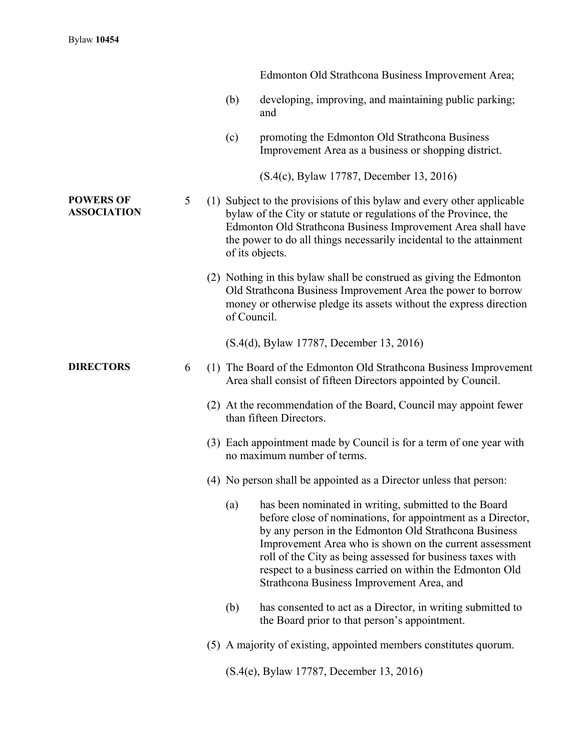|                                        |   |             | Edmonton Old Strathcona Business Improvement Area;                                                                                                                                                                                                                                                                                                                                                              |
|----------------------------------------|---|-------------|-----------------------------------------------------------------------------------------------------------------------------------------------------------------------------------------------------------------------------------------------------------------------------------------------------------------------------------------------------------------------------------------------------------------|
|                                        |   | (b)         | developing, improving, and maintaining public parking;<br>and                                                                                                                                                                                                                                                                                                                                                   |
|                                        |   | (c)         | promoting the Edmonton Old Strathcona Business<br>Improvement Area as a business or shopping district.                                                                                                                                                                                                                                                                                                          |
|                                        |   |             | (S.4(c), Bylaw 17787, December 13, 2016)                                                                                                                                                                                                                                                                                                                                                                        |
| <b>POWERS OF</b><br><b>ASSOCIATION</b> | 5 |             | (1) Subject to the provisions of this bylaw and every other applicable<br>bylaw of the City or statute or regulations of the Province, the<br>Edmonton Old Strathcona Business Improvement Area shall have<br>the power to do all things necessarily incidental to the attainment<br>of its objects.                                                                                                            |
|                                        |   | of Council. | (2) Nothing in this bylaw shall be construed as giving the Edmonton<br>Old Strathcona Business Improvement Area the power to borrow<br>money or otherwise pledge its assets without the express direction                                                                                                                                                                                                       |
|                                        |   |             | (S.4(d), Bylaw 17787, December 13, 2016)                                                                                                                                                                                                                                                                                                                                                                        |
| <b>DIRECTORS</b>                       | 6 |             | (1) The Board of the Edmonton Old Strathcona Business Improvement<br>Area shall consist of fifteen Directors appointed by Council.                                                                                                                                                                                                                                                                              |
|                                        |   |             | (2) At the recommendation of the Board, Council may appoint fewer<br>than fifteen Directors.                                                                                                                                                                                                                                                                                                                    |
|                                        |   |             | (3) Each appointment made by Council is for a term of one year with<br>no maximum number of terms.                                                                                                                                                                                                                                                                                                              |
|                                        |   |             | (4) No person shall be appointed as a Director unless that person:                                                                                                                                                                                                                                                                                                                                              |
|                                        |   | (a)         | has been nominated in writing, submitted to the Board<br>before close of nominations, for appointment as a Director,<br>by any person in the Edmonton Old Strathcona Business<br>Improvement Area who is shown on the current assessment<br>roll of the City as being assessed for business taxes with<br>respect to a business carried on within the Edmonton Old<br>Strathcona Business Improvement Area, and |
|                                        |   | (b)         | has consented to act as a Director, in writing submitted to<br>the Board prior to that person's appointment.                                                                                                                                                                                                                                                                                                    |
|                                        |   |             | (5) A majority of existing, appointed members constitutes quorum.                                                                                                                                                                                                                                                                                                                                               |
|                                        |   |             | (S.4(e), Bylaw 17787, December 13, 2016)                                                                                                                                                                                                                                                                                                                                                                        |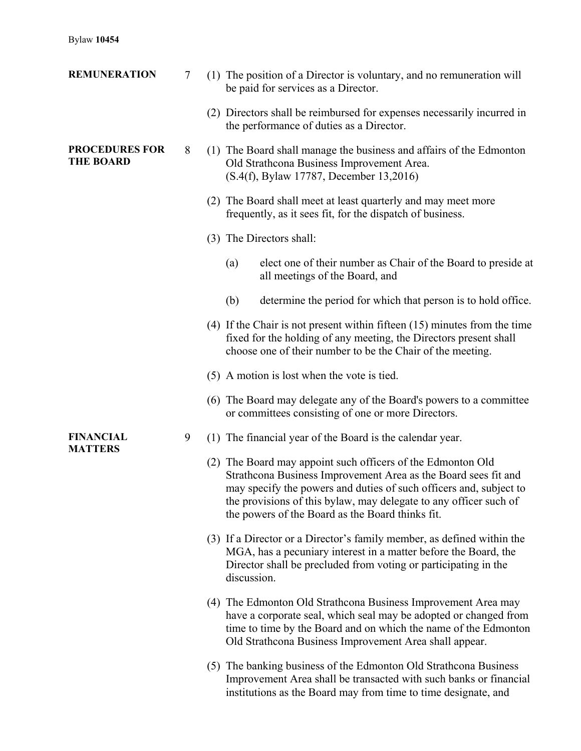| <b>REMUNERATION</b>                       | 7 | (1) The position of a Director is voluntary, and no remuneration will<br>be paid for services as a Director.                                                                                                                                                                                                                 |
|-------------------------------------------|---|------------------------------------------------------------------------------------------------------------------------------------------------------------------------------------------------------------------------------------------------------------------------------------------------------------------------------|
|                                           |   | (2) Directors shall be reimbursed for expenses necessarily incurred in<br>the performance of duties as a Director.                                                                                                                                                                                                           |
| <b>PROCEDURES FOR</b><br><b>THE BOARD</b> | 8 | (1) The Board shall manage the business and affairs of the Edmonton<br>Old Strathcona Business Improvement Area.<br>(S.4(f), Bylaw 17787, December 13,2016)                                                                                                                                                                  |
|                                           |   | (2) The Board shall meet at least quarterly and may meet more<br>frequently, as it sees fit, for the dispatch of business.                                                                                                                                                                                                   |
|                                           |   | (3) The Directors shall:                                                                                                                                                                                                                                                                                                     |
|                                           |   | elect one of their number as Chair of the Board to preside at<br>(a)<br>all meetings of the Board, and                                                                                                                                                                                                                       |
|                                           |   | determine the period for which that person is to hold office.<br>(b)                                                                                                                                                                                                                                                         |
|                                           |   | $(4)$ If the Chair is not present within fifteen $(15)$ minutes from the time<br>fixed for the holding of any meeting, the Directors present shall<br>choose one of their number to be the Chair of the meeting.                                                                                                             |
|                                           |   | (5) A motion is lost when the vote is tied.                                                                                                                                                                                                                                                                                  |
|                                           |   | (6) The Board may delegate any of the Board's powers to a committee<br>or committees consisting of one or more Directors.                                                                                                                                                                                                    |
| <b>FINANCIAL</b><br><b>MATTERS</b>        | 9 | (1) The financial year of the Board is the calendar year.                                                                                                                                                                                                                                                                    |
|                                           |   | (2) The Board may appoint such officers of the Edmonton Old<br>Strathcona Business Improvement Area as the Board sees fit and<br>may specify the powers and duties of such officers and, subject to<br>the provisions of this bylaw, may delegate to any officer such of<br>the powers of the Board as the Board thinks fit. |
|                                           |   | (3) If a Director or a Director's family member, as defined within the<br>MGA, has a pecuniary interest in a matter before the Board, the<br>Director shall be precluded from voting or participating in the<br>discussion.                                                                                                  |
|                                           |   | (4) The Edmonton Old Strathcona Business Improvement Area may<br>have a corporate seal, which seal may be adopted or changed from<br>time to time by the Board and on which the name of the Edmonton<br>Old Strathcona Business Improvement Area shall appear.                                                               |
|                                           |   | (5) The banking business of the Edmonton Old Strathcona Business<br>Improvement Area shall be transacted with such banks or financial<br>institutions as the Board may from time to time designate, and                                                                                                                      |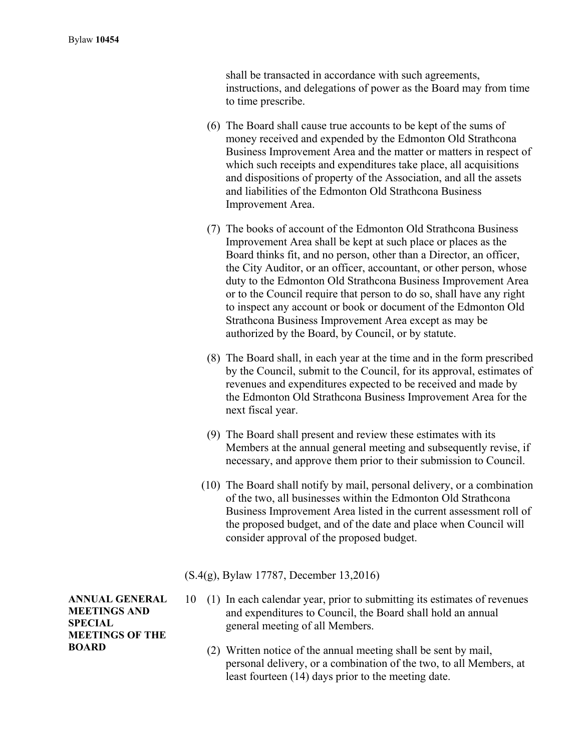shall be transacted in accordance with such agreements, instructions, and delegations of power as the Board may from time to time prescribe.

- (6) The Board shall cause true accounts to be kept of the sums of money received and expended by the Edmonton Old Strathcona Business Improvement Area and the matter or matters in respect of which such receipts and expenditures take place, all acquisitions and dispositions of property of the Association, and all the assets and liabilities of the Edmonton Old Strathcona Business Improvement Area.
- (7) The books of account of the Edmonton Old Strathcona Business Improvement Area shall be kept at such place or places as the Board thinks fit, and no person, other than a Director, an officer, the City Auditor, or an officer, accountant, or other person, whose duty to the Edmonton Old Strathcona Business Improvement Area or to the Council require that person to do so, shall have any right to inspect any account or book or document of the Edmonton Old Strathcona Business Improvement Area except as may be authorized by the Board, by Council, or by statute.
- (8) The Board shall, in each year at the time and in the form prescribed by the Council, submit to the Council, for its approval, estimates of revenues and expenditures expected to be received and made by the Edmonton Old Strathcona Business Improvement Area for the next fiscal year.
- (9) The Board shall present and review these estimates with its Members at the annual general meeting and subsequently revise, if necessary, and approve them prior to their submission to Council.
- (10) The Board shall notify by mail, personal delivery, or a combination of the two, all businesses within the Edmonton Old Strathcona Business Improvement Area listed in the current assessment roll of the proposed budget, and of the date and place when Council will consider approval of the proposed budget.

(S.4(g), Bylaw 17787, December 13,2016)

- 10 (1) In each calendar year, prior to submitting its estimates of revenues and expenditures to Council, the Board shall hold an annual general meeting of all Members.
	- (2) Written notice of the annual meeting shall be sent by mail, personal delivery, or a combination of the two, to all Members, at least fourteen (14) days prior to the meeting date.

**ANNUAL GENERAL MEETINGS AND SPECIAL MEETINGS OF THE BOARD**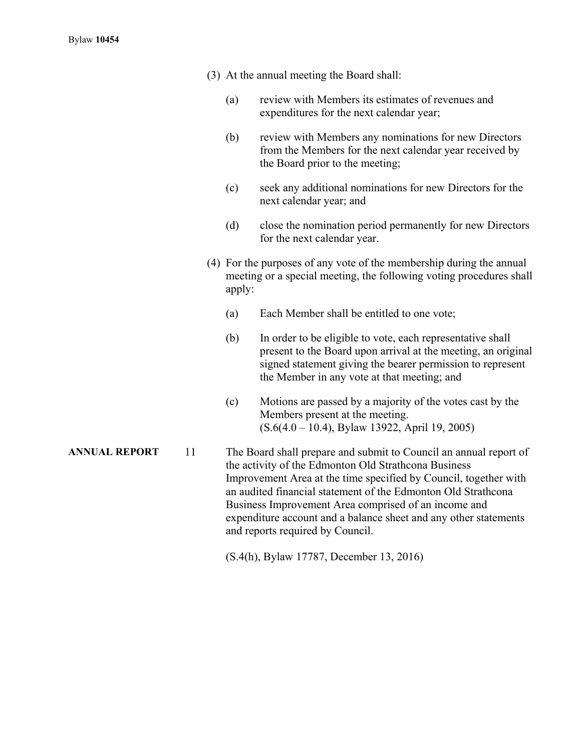- (3) At the annual meeting the Board shall:
	- (a) review with Members its estimates of revenues and expenditures for the next calendar year;
	- (b) review with Members any nominations for new Directors from the Members for the next calendar year received by the Board prior to the meeting;
	- (c) seek any additional nominations for new Directors for the next calendar year; and
	- (d) close the nomination period permanently for new Directors for the next calendar year.
- (4) For the purposes of any vote of the membership during the annual meeting or a special meeting, the following voting procedures shall apply:
	- (a) Each Member shall be entitled to one vote;
	- (b) In order to be eligible to vote, each representative shall present to the Board upon arrival at the meeting, an original signed statement giving the bearer permission to represent the Member in any vote at that meeting; and
	- (c) Motions are passed by a majority of the votes cast by the Members present at the meeting. (S.6(4.0 – 10.4), Bylaw 13922, April 19, 2005)
- **ANNUAL REPORT** 11 The Board shall prepare and submit to Council an annual report of the activity of the Edmonton Old Strathcona Business Improvement Area at the time specified by Council, together with an audited financial statement of the Edmonton Old Strathcona Business Improvement Area comprised of an income and expenditure account and a balance sheet and any other statements and reports required by Council.

(S.4(h), Bylaw 17787, December 13, 2016)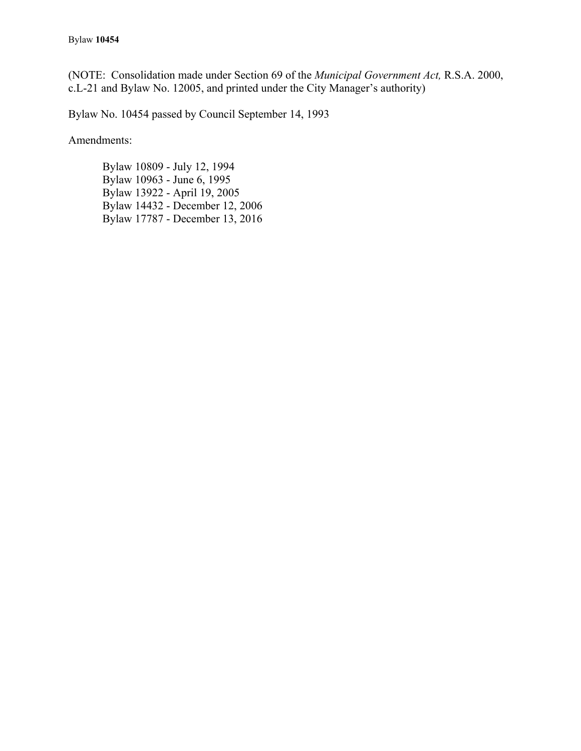(NOTE: Consolidation made under Section 69 of the *Municipal Government Act,* R.S.A. 2000, c.L-21 and Bylaw No. 12005, and printed under the City Manager's authority)

Bylaw No. 10454 passed by Council September 14, 1993

Amendments:

 Bylaw 10809 - July 12, 1994 Bylaw 10963 - June 6, 1995 Bylaw 13922 - April 19, 2005 Bylaw 14432 - December 12, 2006 Bylaw 17787 - December 13, 2016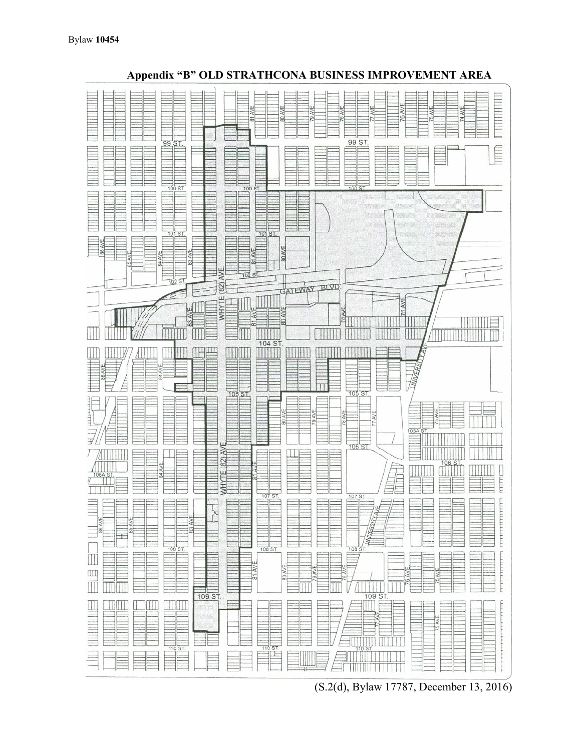

 **Appendix "B" OLD STRATHCONA BUSINESS IMPROVEMENT AREA** 

(S.2(d), Bylaw 17787, December 13, 2016)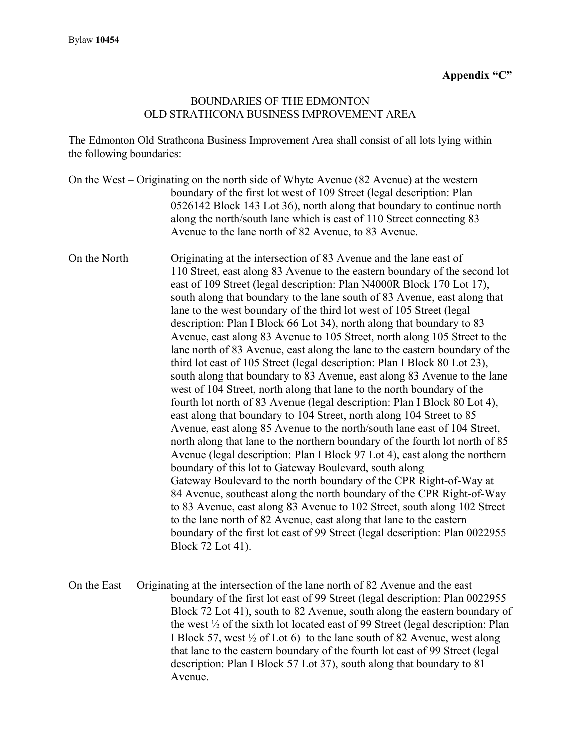#### BOUNDARIES OF THE EDMONTON OLD STRATHCONA BUSINESS IMPROVEMENT AREA

The Edmonton Old Strathcona Business Improvement Area shall consist of all lots lying within the following boundaries:

|                  | On the West – Originating on the north side of Whyte Avenue (82 Avenue) at the western<br>boundary of the first lot west of 109 Street (legal description: Plan<br>0526142 Block 143 Lot 36), north along that boundary to continue north<br>along the north/south lane which is east of 110 Street connecting 83<br>Avenue to the lane north of 82 Avenue, to 83 Avenue.                                                                                                                                                                                                                                                                                                                                                                                                                                                                                                                                                                                                                                                                                                                                                                                                                                                                                                                                                                                                                                                                                                                                                                                                                                                                                                                                              |
|------------------|------------------------------------------------------------------------------------------------------------------------------------------------------------------------------------------------------------------------------------------------------------------------------------------------------------------------------------------------------------------------------------------------------------------------------------------------------------------------------------------------------------------------------------------------------------------------------------------------------------------------------------------------------------------------------------------------------------------------------------------------------------------------------------------------------------------------------------------------------------------------------------------------------------------------------------------------------------------------------------------------------------------------------------------------------------------------------------------------------------------------------------------------------------------------------------------------------------------------------------------------------------------------------------------------------------------------------------------------------------------------------------------------------------------------------------------------------------------------------------------------------------------------------------------------------------------------------------------------------------------------------------------------------------------------------------------------------------------------|
| On the North $-$ | Originating at the intersection of 83 Avenue and the lane east of<br>110 Street, east along 83 Avenue to the eastern boundary of the second lot<br>east of 109 Street (legal description: Plan N4000R Block 170 Lot 17),<br>south along that boundary to the lane south of 83 Avenue, east along that<br>lane to the west boundary of the third lot west of 105 Street (legal)<br>description: Plan I Block 66 Lot 34), north along that boundary to 83<br>Avenue, east along 83 Avenue to 105 Street, north along 105 Street to the<br>lane north of 83 Avenue, east along the lane to the eastern boundary of the<br>third lot east of 105 Street (legal description: Plan I Block 80 Lot 23),<br>south along that boundary to 83 Avenue, east along 83 Avenue to the lane<br>west of 104 Street, north along that lane to the north boundary of the<br>fourth lot north of 83 Avenue (legal description: Plan I Block 80 Lot 4),<br>east along that boundary to 104 Street, north along 104 Street to 85<br>Avenue, east along 85 Avenue to the north/south lane east of 104 Street,<br>north along that lane to the northern boundary of the fourth lot north of 85<br>Avenue (legal description: Plan I Block 97 Lot 4), east along the northern<br>boundary of this lot to Gateway Boulevard, south along<br>Gateway Boulevard to the north boundary of the CPR Right-of-Way at<br>84 Avenue, southeast along the north boundary of the CPR Right-of-Way<br>to 83 Avenue, east along 83 Avenue to 102 Street, south along 102 Street<br>to the lane north of 82 Avenue, east along that lane to the eastern<br>boundary of the first lot east of 99 Street (legal description: Plan 0022955<br>Block 72 Lot 41). |

On the East – Originating at the intersection of the lane north of 82 Avenue and the east boundary of the first lot east of 99 Street (legal description: Plan 0022955 Block 72 Lot 41), south to 82 Avenue, south along the eastern boundary of the west ½ of the sixth lot located east of 99 Street (legal description: Plan I Block 57, west ½ of Lot 6) to the lane south of 82 Avenue, west along that lane to the eastern boundary of the fourth lot east of 99 Street (legal description: Plan I Block 57 Lot 37), south along that boundary to 81 Avenue.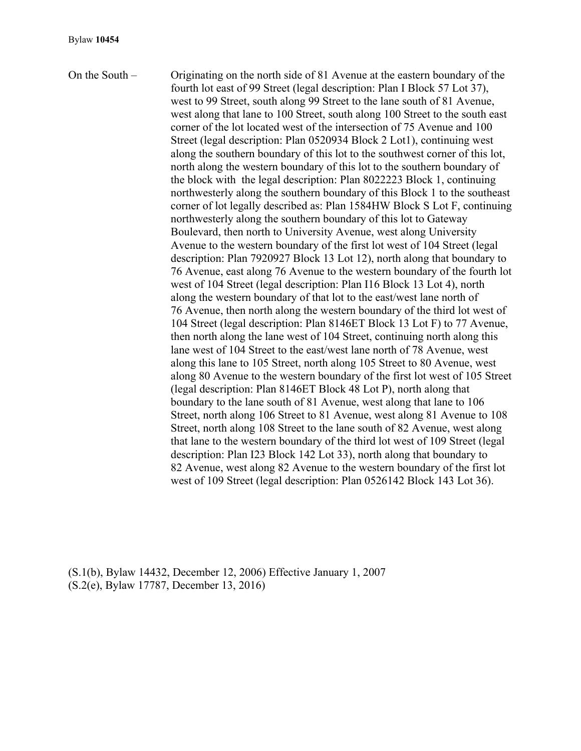On the South – Originating on the north side of 81 Avenue at the eastern boundary of the fourth lot east of 99 Street (legal description: Plan I Block 57 Lot 37), west to 99 Street, south along 99 Street to the lane south of 81 Avenue, west along that lane to 100 Street, south along 100 Street to the south east corner of the lot located west of the intersection of 75 Avenue and 100 Street (legal description: Plan 0520934 Block 2 Lot1), continuing west along the southern boundary of this lot to the southwest corner of this lot, north along the western boundary of this lot to the southern boundary of the block with the legal description: Plan 8022223 Block 1, continuing northwesterly along the southern boundary of this Block 1 to the southeast corner of lot legally described as: Plan 1584HW Block S Lot F, continuing northwesterly along the southern boundary of this lot to Gateway Boulevard, then north to University Avenue, west along University Avenue to the western boundary of the first lot west of 104 Street (legal description: Plan 7920927 Block 13 Lot 12), north along that boundary to 76 Avenue, east along 76 Avenue to the western boundary of the fourth lot west of 104 Street (legal description: Plan I16 Block 13 Lot 4), north along the western boundary of that lot to the east/west lane north of 76 Avenue, then north along the western boundary of the third lot west of 104 Street (legal description: Plan 8146ET Block 13 Lot F) to 77 Avenue, then north along the lane west of 104 Street, continuing north along this lane west of 104 Street to the east/west lane north of 78 Avenue, west along this lane to 105 Street, north along 105 Street to 80 Avenue, west along 80 Avenue to the western boundary of the first lot west of 105 Street (legal description: Plan 8146ET Block 48 Lot P), north along that boundary to the lane south of 81 Avenue, west along that lane to 106 Street, north along 106 Street to 81 Avenue, west along 81 Avenue to 108 Street, north along 108 Street to the lane south of 82 Avenue, west along that lane to the western boundary of the third lot west of 109 Street (legal description: Plan I23 Block 142 Lot 33), north along that boundary to 82 Avenue, west along 82 Avenue to the western boundary of the first lot west of 109 Street (legal description: Plan 0526142 Block 143 Lot 36).

(S.1(b), Bylaw 14432, December 12, 2006) Effective January 1, 2007 (S.2(e), Bylaw 17787, December 13, 2016)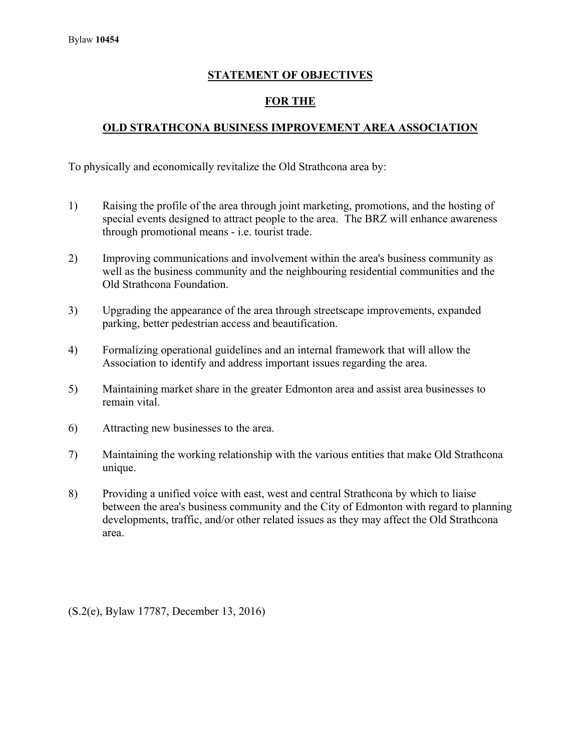### **STATEMENT OF OBJECTIVES**

### **FOR THE**

## **OLD STRATHCONA BUSINESS IMPROVEMENT AREA ASSOCIATION**

To physically and economically revitalize the Old Strathcona area by:

- 1) Raising the profile of the area through joint marketing, promotions, and the hosting of special events designed to attract people to the area. The BRZ will enhance awareness through promotional means - i.e. tourist trade.
- 2) Improving communications and involvement within the area's business community as well as the business community and the neighbouring residential communities and the Old Strathcona Foundation.
- 3) Upgrading the appearance of the area through streetscape improvements, expanded parking, better pedestrian access and beautification.
- 4) Formalizing operational guidelines and an internal framework that will allow the Association to identify and address important issues regarding the area.
- 5) Maintaining market share in the greater Edmonton area and assist area businesses to remain vital.
- 6) Attracting new businesses to the area.
- 7) Maintaining the working relationship with the various entities that make Old Strathcona unique.
- 8) Providing a unified voice with east, west and central Strathcona by which to liaise between the area's business community and the City of Edmonton with regard to planning developments, traffic, and/or other related issues as they may affect the Old Strathcona area.

(S.2(e), Bylaw 17787, December 13, 2016)